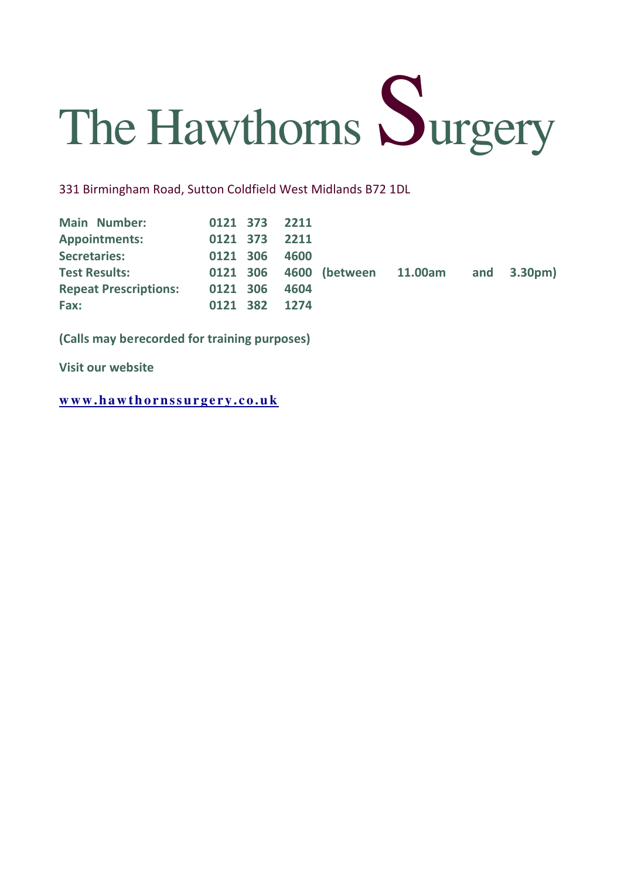

331 Birmingham Road, Sutton Coldfield West Midlands B72 1DL

| <b>Main Number:</b>          |          | 0121 373 2211 |      |                                |  |                        |
|------------------------------|----------|---------------|------|--------------------------------|--|------------------------|
| <b>Appointments:</b>         | 0121 373 |               | 2211 |                                |  |                        |
| <b>Secretaries:</b>          | 0121 306 |               | 4600 |                                |  |                        |
| <b>Test Results:</b>         |          |               |      | 0121 306 4600 (between 11.00am |  | and $3.30 \text{pm}$ ) |
| <b>Repeat Prescriptions:</b> | 0121 306 |               | 4604 |                                |  |                        |
| Fax:                         |          | 0121 382 1274 |      |                                |  |                        |

(Calls may be recorded for training purposes)

Visit our website

**w w w . h a w t h o r n s s u r g e r y . c o . u k**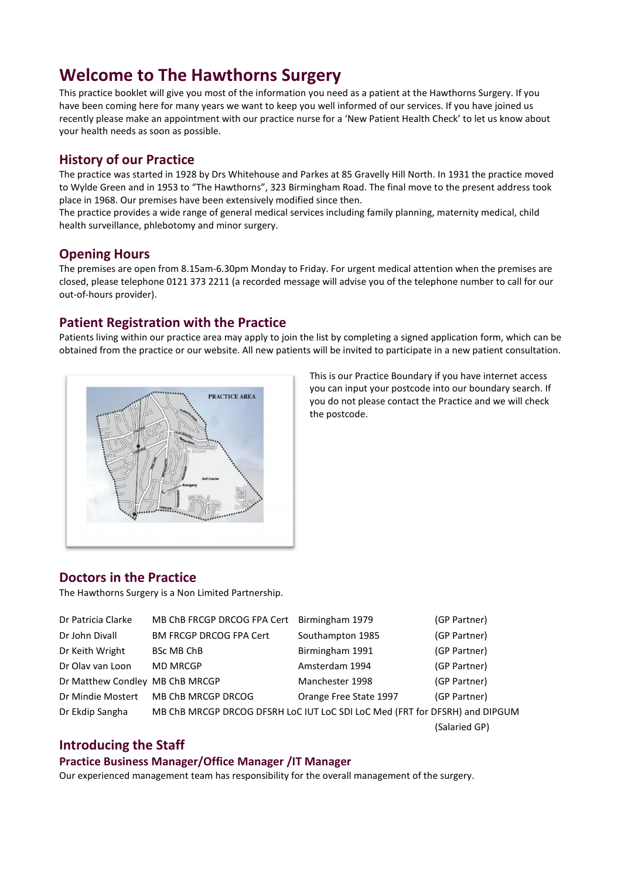# Welcome to The Hawthorns Surgery

This practice booklet will give you most of the information you need as a patient at the Hawthorns Surgery. If you have been coming here for many years we want to keep you well informed of our services. If you have joined us recently please make an appointment with our practice nurse for a 'New Patient Health Check' to let us know about your health needs as soon as possible.

# History of our Practice

The practice was started in 1928 by Drs Whitehouse and Parkes at 85 Gravelly Hill North. In 1931 the practice moved to Wylde Green and in 1953 to "The Hawthorns", 323 Birmingham Road. The final move to the present address took place in 1968. Our premises have been extensively modified since then.

The practice provides a wide range of general medical services including family planning, maternity medical, child health surveillance, phlebotomy and minor surgery.

# Opening Hours

The premises are open from 8.15am-6.30pm Monday to Friday. For urgent medical attention when the premises are closed, please telephone 0121 373 2211 (a recorded message will advise you of the telephone number to call for our out-of-hours provider).

# Patient Registration with the Practice

Patients living within our practice area may apply to join the list by completing a signed application form, which can be obtained from the practice or our website. All new patients will be invited to participate in a new patient consultation.



This is our Practice Boundary if you have internet access you can input your postcode into our boundary search. If you do not please contact the Practice and we will check the postcode.

# Doctors in the Practice

The Hawthorns Surgery is a Non Limited Partnership.

| Dr Patricia Clarke              | MB ChB FRCGP DRCOG FPA Cert                                                 | Birmingham 1979        | (GP Partner)  |
|---------------------------------|-----------------------------------------------------------------------------|------------------------|---------------|
| Dr John Divall                  | <b>BM FRCGP DRCOG FPA Cert</b>                                              | Southampton 1985       | (GP Partner)  |
| Dr Keith Wright                 | <b>BSc MB ChB</b>                                                           | Birmingham 1991        | (GP Partner)  |
| Dr Olav van Loon                | <b>MD MRCGP</b>                                                             | Amsterdam 1994         | (GP Partner)  |
| Dr Matthew Condley MB ChB MRCGP |                                                                             | Manchester 1998        | (GP Partner)  |
| Dr Mindie Mostert               | MB ChB MRCGP DRCOG                                                          | Orange Free State 1997 | (GP Partner)  |
| Dr Ekdip Sangha                 | MB ChB MRCGP DRCOG DFSRH LoC IUT LoC SDI LoC Med (FRT for DFSRH) and DIPGUM |                        |               |
|                                 |                                                                             |                        | (Salaried GP) |

# Introducing the Staff

#### Practice Business Manager/Office Manager /IT Manager

Our experienced management team has responsibility for the overall management of the surgery.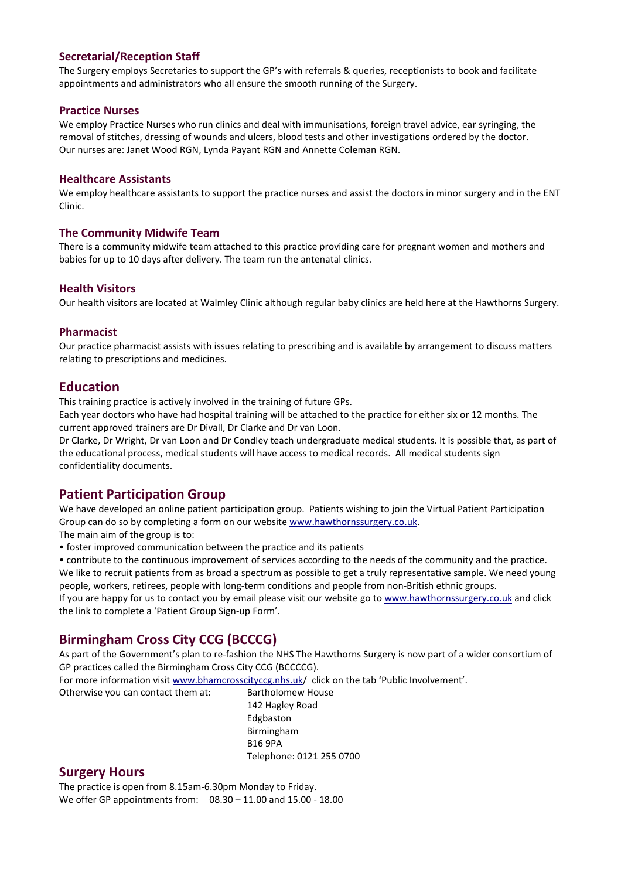#### Secretarial/Reception Staff

The Surgery employs Secretaries to support the GP's with referrals & queries, receptionists to book and facilitate appointments and administrators who all ensure the smooth running of the Surgery.

#### Practice Nurses

We employ Practice Nurses who run clinics and deal with immunisations, foreign travel advice, ear syringing, the removal of stitches, dressing of wounds and ulcers, blood tests and other investigations ordered by the doctor. Our nurses are: Janet Wood RGN, Lynda Payant RGN and Annette Coleman RGN.

#### Healthcare Assistants

We employ healthcare assistants to support the practice nurses and assist the doctors in minor surgery and in the ENT Clinic.

#### The Community Midwife Team

There is a community midwife team attached to this practice providing care for pregnant women and mothers and babies for up to 10 days after delivery. The team run the antenatal clinics.

#### Health Visitors

Our health visitors are located at Walmley Clinic although regular baby clinics are held here at the Hawthorns Surgery.

#### Pharmacist

Our practice pharmacist assists with issues relating to prescribing and is available by arrangement to discuss matters relating to prescriptions and medicines.

### Education

This training practice is actively involved in the training of future GPs.

Each year doctors who have had hospital training will be attached to the practice for either six or 12 months. The current approved trainers are Dr Divall, Dr Clarke and Dr van Loon.

Dr Clarke, Dr Wright, Dr van Loon and Dr Condley teach undergraduate medical students. It is possible that, as part of the educational process, medical students will have access to medical records. All medical students sign confidentiality documents.

# Patient Participation Group

We have developed an online patient participation group. Patients wishing to join the Virtual Patient Participation Group can do so by completing a form on our website www.hawthornssurgery.co.uk.

The main aim of the group is to:

• foster improved communication between the practice and its patients

• contribute to the continuous improvement of services according to the needs of the community and the practice. We like to recruit patients from as broad a spectrum as possible to get a truly representative sample. We need young people, workers, retirees, people with long-term conditions and people from non-British ethnic groups.

If you are happy for us to contact you by email please visit our website go to www.hawthornssurgery.co.uk and click the link to complete a 'Patient Group Sign-up Form'.

# Birmingham Cross City CCG (BCCCG)

As part of the Government's plan to re-fashion the NHS The Hawthorns Surgery is now part of a wider consortium of GP practices called the Birmingham Cross City CCG (BCCCCG).

For more information visit www.bhamcrosscityccg.nhs.uk/ click on the tab 'Public Involvement'.

Otherwise you can contact them at: Bartholomew House

142 Hagley Road Edgbaston Birmingham B16 9PA Telephone: 0121 255 0700

# Surgery Hours

The practice is open from 8.15am-6.30pm Monday to Friday. We offer GP appointments from: 08.30 – 11.00 and 15.00 - 18.00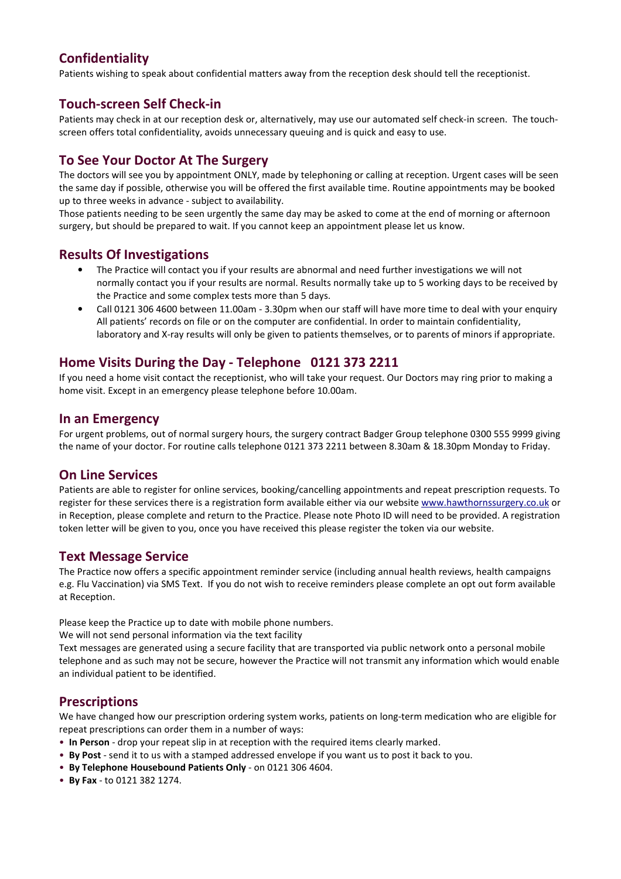# Confidentiality

Patients wishing to speak about confidential matters away from the reception desk should tell the receptionist.

# Touch-screen Self Check-in

Patients may check in at our reception desk or, alternatively, may use our automated self check-in screen. The touchscreen offers total confidentiality, avoids unnecessary queuing and is quick and easy to use.

# To See Your Doctor At The Surgery

The doctors will see you by appointment ONLY, made by telephoning or calling at reception. Urgent cases will be seen the same day if possible, otherwise you will be offered the first available time. Routine appointments may be booked up to three weeks in advance - subject to availability.

Those patients needing to be seen urgently the same day may be asked to come at the end of morning or afternoon surgery, but should be prepared to wait. If you cannot keep an appointment please let us know.

# Results Of Investigations

- The Practice will contact you if your results are abnormal and need further investigations we will not normally contact you if your results are normal. Results normally take up to 5 working days to be received by the Practice and some complex tests more than 5 days.
- Call 0121 306 4600 between 11.00am 3.30pm when our staff will have more time to deal with your enquiry All patients' records on file or on the computer are confidential. In order to maintain confidentiality, laboratory and X-ray results will only be given to patients themselves, or to parents of minors if appropriate.

# Home Visits During the Day - Telephone 0121 373 2211

If you need a home visit contact the receptionist, who will take your request. Our Doctors may ring prior to making a home visit. Except in an emergency please telephone before 10.00am.

### In an Emergency

For urgent problems, out of normal surgery hours, the surgery contract Badger Group telephone 0300 555 9999 giving the name of your doctor. For routine calls telephone 0121 373 2211 between 8.30am & 18.30pm Monday to Friday.

# On Line Services

Patients are able to register for online services, booking/cancelling appointments and repeat prescription requests. To register for these services there is a registration form available either via our website www.hawthornssurgery.co.uk or in Reception, please complete and return to the Practice. Please note Photo ID will need to be provided. A registration token letter will be given to you, once you have received this please register the token via our website.

# Text Message Service

The Practice now offers a specific appointment reminder service (including annual health reviews, health campaigns e.g. Flu Vaccination) via SMS Text. If you do not wish to receive reminders please complete an opt out form available at Reception.

Please keep the Practice up to date with mobile phone numbers.

We will not send personal information via the text facility

Text messages are generated using a secure facility that are transported via public network onto a personal mobile telephone and as such may not be secure, however the Practice will not transmit any information which would enable an individual patient to be identified.

# **Prescriptions**

We have changed how our prescription ordering system works, patients on long-term medication who are eligible for repeat prescriptions can order them in a number of ways:

- In Person drop your repeat slip in at reception with the required items clearly marked.
- By Post send it to us with a stamped addressed envelope if you want us to post it back to you.
- By Telephone Housebound Patients Only on 0121 306 4604.
- By Fax to 0121 382 1274.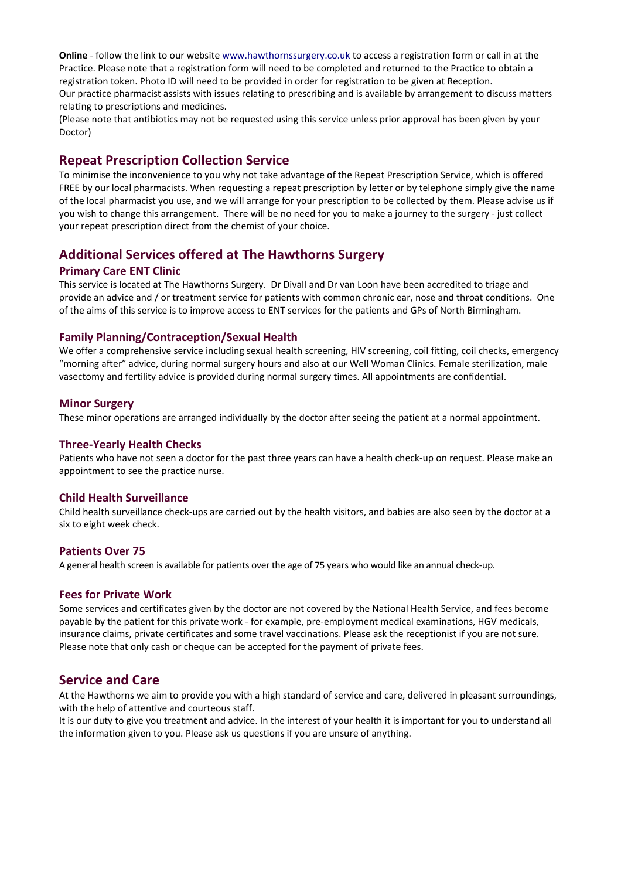Online - follow the link to our website www.hawthornssurgery.co.uk to access a registration form or call in at the Practice. Please note that a registration form will need to be completed and returned to the Practice to obtain a registration token. Photo ID will need to be provided in order for registration to be given at Reception. Our practice pharmacist assists with issues relating to prescribing and is available by arrangement to discuss matters relating to prescriptions and medicines.

(Please note that antibiotics may not be requested using this service unless prior approval has been given by your Doctor)

### Repeat Prescription Collection Service

To minimise the inconvenience to you why not take advantage of the Repeat Prescription Service, which is offered FREE by our local pharmacists. When requesting a repeat prescription by letter or by telephone simply give the name of the local pharmacist you use, and we will arrange for your prescription to be collected by them. Please advise us if you wish to change this arrangement. There will be no need for you to make a journey to the surgery - just collect your repeat prescription direct from the chemist of your choice.

### Additional Services offered at The Hawthorns Surgery

#### Primary Care ENT Clinic

This service is located at The Hawthorns Surgery. Dr Divall and Dr van Loon have been accredited to triage and provide an advice and / or treatment service for patients with common chronic ear, nose and throat conditions. One of the aims of this service is to improve access to ENT services for the patients and GPs of North Birmingham.

#### Family Planning/Contraception/Sexual Health

We offer a comprehensive service including sexual health screening, HIV screening, coil fitting, coil checks, emergency "morning after" advice, during normal surgery hours and also at our Well Woman Clinics. Female sterilization, male vasectomy and fertility advice is provided during normal surgery times. All appointments are confidential.

#### Minor Surgery

These minor operations are arranged individually by the doctor after seeing the patient at a normal appointment.

#### Three-Yearly Health Checks

Patients who have not seen a doctor for the past three years can have a health check-up on request. Please make an appointment to see the practice nurse.

#### Child Health Surveillance

Child health surveillance check-ups are carried out by the health visitors, and babies are also seen by the doctor at a six to eight week check.

#### Patients Over 75

A general health screen is available for patients over the age of 75 years who would like an annual check-up.

#### Fees for Private Work

Some services and certificates given by the doctor are not covered by the National Health Service, and fees become payable by the patient for this private work - for example, pre-employment medical examinations, HGV medicals, insurance claims, private certificates and some travel vaccinations. Please ask the receptionist if you are not sure. Please note that only cash or cheque can be accepted for the payment of private fees.

# Service and Care

At the Hawthorns we aim to provide you with a high standard of service and care, delivered in pleasant surroundings, with the help of attentive and courteous staff.

It is our duty to give you treatment and advice. In the interest of your health it is important for you to understand all the information given to you. Please ask us questions if you are unsure of anything.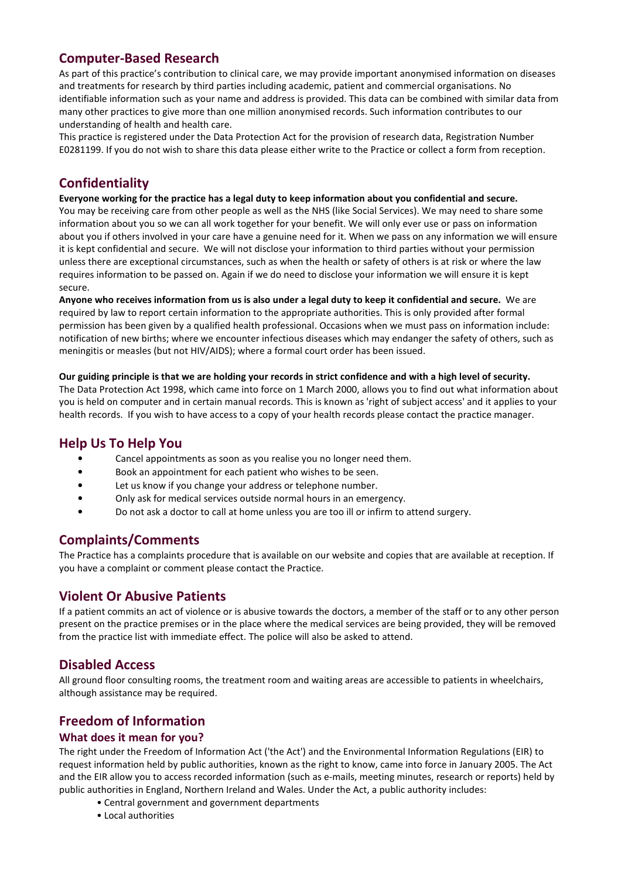# Computer-Based Research

As part of this practice's contribution to clinical care, we may provide important anonymised information on diseases and treatments for research by third parties including academic, patient and commercial organisations. No identifiable information such as your name and address is provided. This data can be combined with similar data from many other practices to give more than one million anonymised records. Such information contributes to our understanding of health and health care.

This practice is registered under the Data Protection Act for the provision of research data, Registration Number E0281199. If you do not wish to share this data please either write to the Practice or collect a form from reception.

# **Confidentiality**

Everyone working for the practice has a legal duty to keep information about you confidential and secure. You may be receiving care from other people as well as the NHS (like Social Services). We may need to share some information about you so we can all work together for your benefit. We will only ever use or pass on information about you if others involved in your care have a genuine need for it. When we pass on any information we will ensure it is kept confidential and secure. We will not disclose your information to third parties without your permission unless there are exceptional circumstances, such as when the health or safety of others is at risk or where the law requires information to be passed on. Again if we do need to disclose your information we will ensure it is kept secure.

Anyone who receives information from us is also under a legal duty to keep it confidential and secure. We are required by law to report certain information to the appropriate authorities. This is only provided after formal permission has been given by a qualified health professional. Occasions when we must pass on information include: notification of new births; where we encounter infectious diseases which may endanger the safety of others, such as meningitis or measles (but not HIV/AIDS); where a formal court order has been issued.

#### Our guiding principle is that we are holding your records in strict confidence and with a high level of security.

The Data Protection Act 1998, which came into force on 1 March 2000, allows you to find out what information about you is held on computer and in certain manual records. This is known as 'right of subject access' and it applies to your health records. If you wish to have access to a copy of your health records please contact the practice manager.

# Help Us To Help You

- Cancel appointments as soon as you realise you no longer need them.
- Book an appointment for each patient who wishes to be seen.
- Let us know if you change your address or telephone number.
- Only ask for medical services outside normal hours in an emergency.
- Do not ask a doctor to call at home unless you are too ill or infirm to attend surgery.

# Complaints/Comments

The Practice has a complaints procedure that is available on our website and copies that are available at reception. If you have a complaint or comment please contact the Practice.

# Violent Or Abusive Patients

If a patient commits an act of violence or is abusive towards the doctors, a member of the staff or to any other person present on the practice premises or in the place where the medical services are being provided, they will be removed from the practice list with immediate effect. The police will also be asked to attend.

# Disabled Access

All ground floor consulting rooms, the treatment room and waiting areas are accessible to patients in wheelchairs, although assistance may be required.

# Freedom of Information

### What does it mean for you?

The right under the Freedom of Information Act ('the Act') and the Environmental Information Regulations (EIR) to request information held by public authorities, known as the right to know, came into force in January 2005. The Act and the EIR allow you to access recorded information (such as e-mails, meeting minutes, research or reports) held by public authorities in England, Northern Ireland and Wales. Under the Act, a public authority includes:

- Central government and government departments
- Local authorities